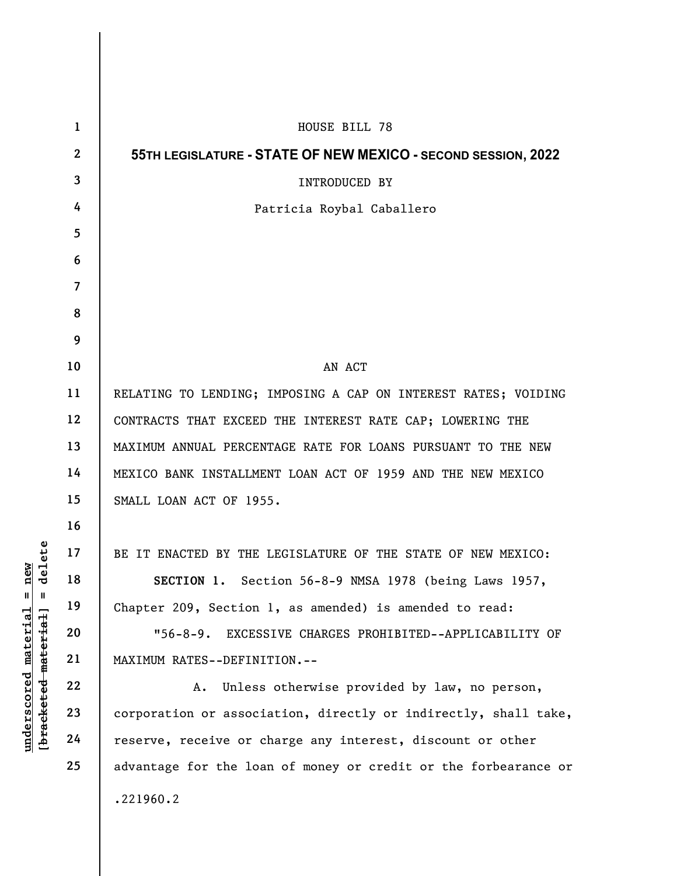| elete                                                                              | $\mathbf{1}$   | HOUSE BILL 78                                                   |
|------------------------------------------------------------------------------------|----------------|-----------------------------------------------------------------|
|                                                                                    | $\mathbf{2}$   | 55TH LEGISLATURE - STATE OF NEW MEXICO - SECOND SESSION, 2022   |
|                                                                                    | 3              | INTRODUCED BY                                                   |
|                                                                                    | 4              | Patricia Roybal Caballero                                       |
|                                                                                    | 5              |                                                                 |
|                                                                                    | 6              |                                                                 |
|                                                                                    | $\overline{7}$ |                                                                 |
|                                                                                    | 8              |                                                                 |
|                                                                                    | 9              |                                                                 |
|                                                                                    | 10             | AN ACT                                                          |
|                                                                                    | 11             | RELATING TO LENDING; IMPOSING A CAP ON INTEREST RATES; VOIDING  |
|                                                                                    | 12             | CONTRACTS THAT EXCEED THE INTEREST RATE CAP; LOWERING THE       |
|                                                                                    | 13             | MAXIMUM ANNUAL PERCENTAGE RATE FOR LOANS PURSUANT TO THE NEW    |
|                                                                                    | 14             | MEXICO BANK INSTALLMENT LOAN ACT OF 1959 AND THE NEW MEXICO     |
|                                                                                    | 15             | SMALL LOAN ACT OF 1955.                                         |
|                                                                                    | 16             |                                                                 |
|                                                                                    | 17             | BE IT ENACTED BY THE LEGISLATURE OF THE STATE OF NEW MEXICO:    |
| new<br>᠊ᢦ                                                                          | 18             | SECTION 1. Section 56-8-9 NMSA 1978 (being Laws 1957,           |
| $\mathsf{I}$<br>Ш<br>[ <del>bracketed material</del> ]<br>$under\,scored$ material | 19             | Chapter 209, Section 1, as amended) is amended to read:         |
|                                                                                    | 20             | EXCESSIVE CHARGES PROHIBITED--APPLICABILITY OF<br>$"56-8-9.$    |
|                                                                                    | 21             | MAXIMUM RATES--DEFINITION.--                                    |
|                                                                                    | 22             | Unless otherwise provided by law, no person,<br>Α.              |
|                                                                                    | 23             | corporation or association, directly or indirectly, shall take, |
|                                                                                    | 24             | reserve, receive or charge any interest, discount or other      |
|                                                                                    | 25             | advantage for the loan of money or credit or the forbearance or |
|                                                                                    |                | .221960.2                                                       |
|                                                                                    |                |                                                                 |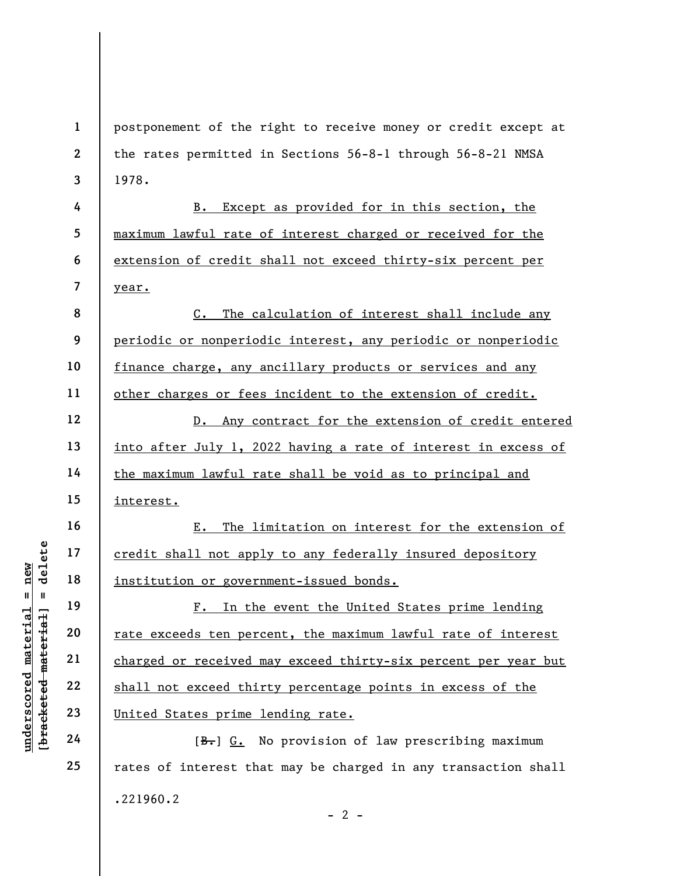1 2 3 postponement of the right to receive money or credit except at the rates permitted in Sections 56-8-1 through 56-8-21 NMSA 1978.

B. Except as provided for in this section, the maximum lawful rate of interest charged or received for the extension of credit shall not exceed thirty-six percent per year.

C. The calculation of interest shall include any periodic or nonperiodic interest, any periodic or nonperiodic finance charge, any ancillary products or services and any other charges or fees incident to the extension of credit.

D. Any contract for the extension of credit entered into after July 1, 2022 having a rate of interest in excess of the maximum lawful rate shall be void as to principal and interest.

E. The limitation on interest for the extension of credit shall not apply to any federally insured depository institution or government-issued bonds.

underscored material = new [bracketed material] = delete F. In the event the United States prime lending rate exceeds ten percent, the maximum lawful rate of interest charged or received may exceed thirty-six percent per year but shall not exceed thirty percentage points in excess of the United States prime lending rate.

[B.] G. No provision of law prescribing maximum rates of interest that may be charged in any transaction shall .221960.2  $- 2 -$ 

4

5

6

7

8

9

10

11

12

13

14

15

16

17

18

19

20

21

22

23

24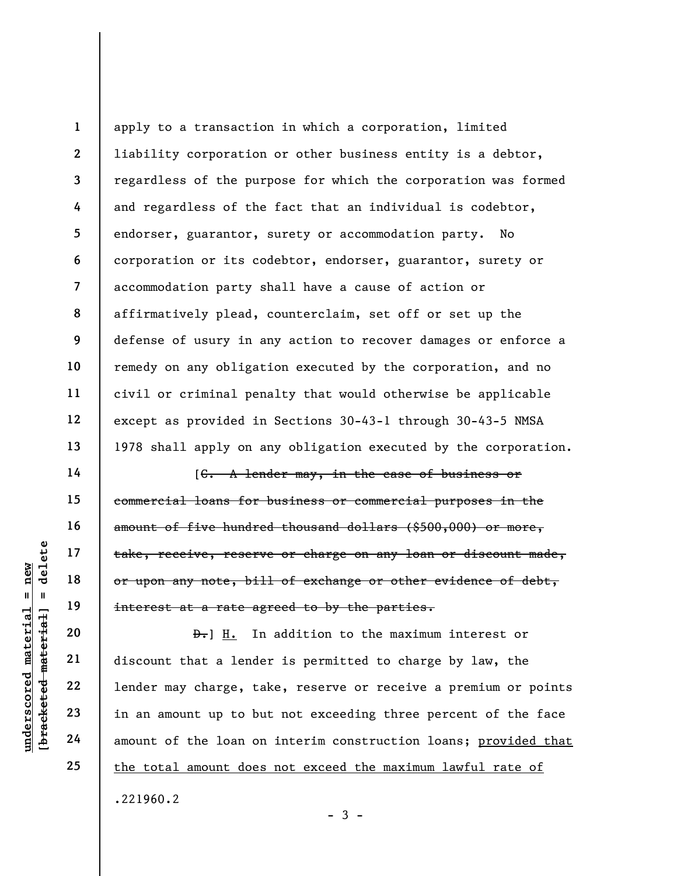1 2 3 4 5 6 7 8 9 10 11 12 13 apply to a transaction in which a corporation, limited liability corporation or other business entity is a debtor, regardless of the purpose for which the corporation was formed and regardless of the fact that an individual is codebtor, endorser, guarantor, surety or accommodation party. No corporation or its codebtor, endorser, guarantor, surety or accommodation party shall have a cause of action or affirmatively plead, counterclaim, set off or set up the defense of usury in any action to recover damages or enforce a remedy on any obligation executed by the corporation, and no civil or criminal penalty that would otherwise be applicable except as provided in Sections 30-43-1 through 30-43-5 NMSA 1978 shall apply on any obligation executed by the corporation.

[C. A lender may, in the case of business or commercial loans for business or commercial purposes in the amount of five hundred thousand dollars (\$500,000) or more, take, receive, reserve or charge on any loan or discount made, or upon any note, bill of exchange or other evidence of debt, interest at a rate agreed to by the parties.

 $\begin{array}{c|c|c|c|c} \multicolumn{1}{|c|}{\text{blue}} & \multicolumn{1}{|c|}{\text{blue}} & \multicolumn{1}{|c|}{\text{take, receive, reserve}} \\ \hline \multicolumn{1}{|c|}{\text{blue}} & \multicolumn{1}{|c|}{\text{blue}} & \multicolumn{1}{|c|}{\text{blue}} & \multicolumn{1}{|c|}{\text{blue}} & \multicolumn{1}{|c|}{\text{blue}} \\ \hline \multicolumn{1}{|c|}{\text{blue}} & \multicolumn{1}{|c|}{\text{blue}} & \multicolumn{1}{|c|}{\text{blue}} & \multicolumn{1}{|$ D.] H. In addition to the maximum interest or discount that a lender is permitted to charge by law, the lender may charge, take, reserve or receive a premium or points in an amount up to but not exceeding three percent of the face amount of the loan on interim construction loans; provided that the total amount does not exceed the maximum lawful rate of .221960.2

 $-3 -$ 

14

15

16

17

18

19

20

21

22

23

24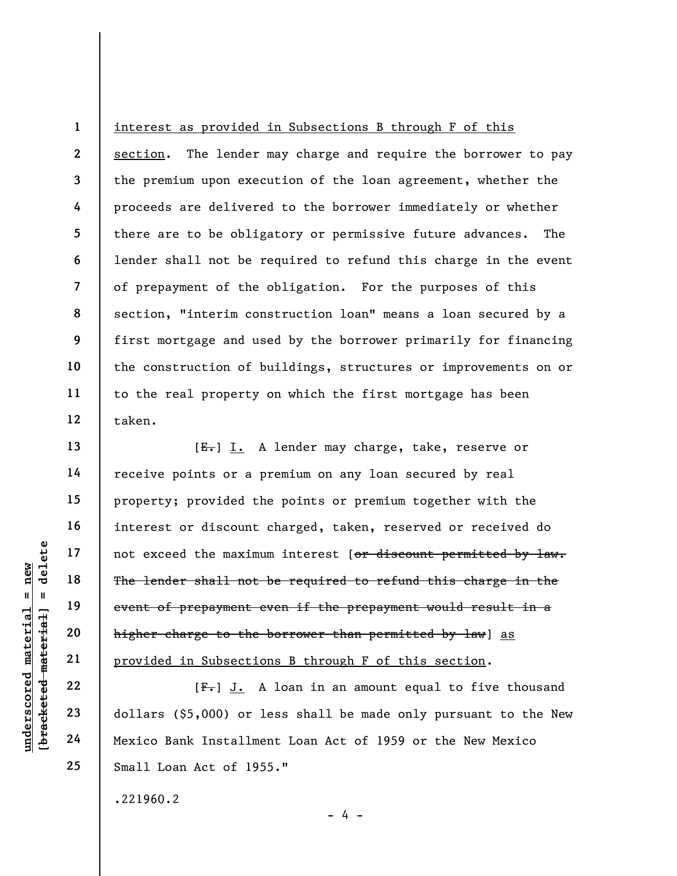2 3 4 5 6 7 8 9 10 11 12 interest as provided in Subsections B through F of this section. The lender may charge and require the borrower to pay the premium upon execution of the loan agreement, whether the proceeds are delivered to the borrower immediately or whether there are to be obligatory or permissive future advances. The lender shall not be required to refund this charge in the event of prepayment of the obligation. For the purposes of this section, "interim construction loan" means a loan secured by a first mortgage and used by the borrower primarily for financing the construction of buildings, structures or improvements on or to the real property on which the first mortgage has been taken.

under 17<br>
= 18<br>
= 18<br>
= 19<br>
= 19<br>
= 19<br>
= 19<br>
= 19<br>
= 19<br>
= 19<br>
= 19<br>
= 19<br>
= 19<br>
= 19<br>
= 19<br>
= 19<br>
= 19<br>
= 19<br>
= 19<br>
= 19<br>
= 19<br>
= 19<br>
= 19<br>
= 19<br>
= 19<br>
= 19<br>
= 19<br>
= 19<br>
= 19<br>
= 19<br>
= 19<br>
= 19<br>
= 19<br>
= 19<br>
= 19<br>
= 19<br>
= [E.] I. A lender may charge, take, reserve or receive points or a premium on any loan secured by real property; provided the points or premium together with the interest or discount charged, taken, reserved or received do not exceed the maximum interest [or discount permitted by law. The lender shall not be required to refund this charge in the event of prepayment even if the prepayment would result in a higher charge to the borrower than permitted by law) as provided in Subsections B through F of this section.

[F.] J. A loan in an amount equal to five thousand dollars (\$5,000) or less shall be made only pursuant to the New Mexico Bank Installment Loan Act of 1959 or the New Mexico Small Loan Act of 1955."

- 4 -

.221960.2

1

13

14

15

16

17

18

19

20

21

22

23

24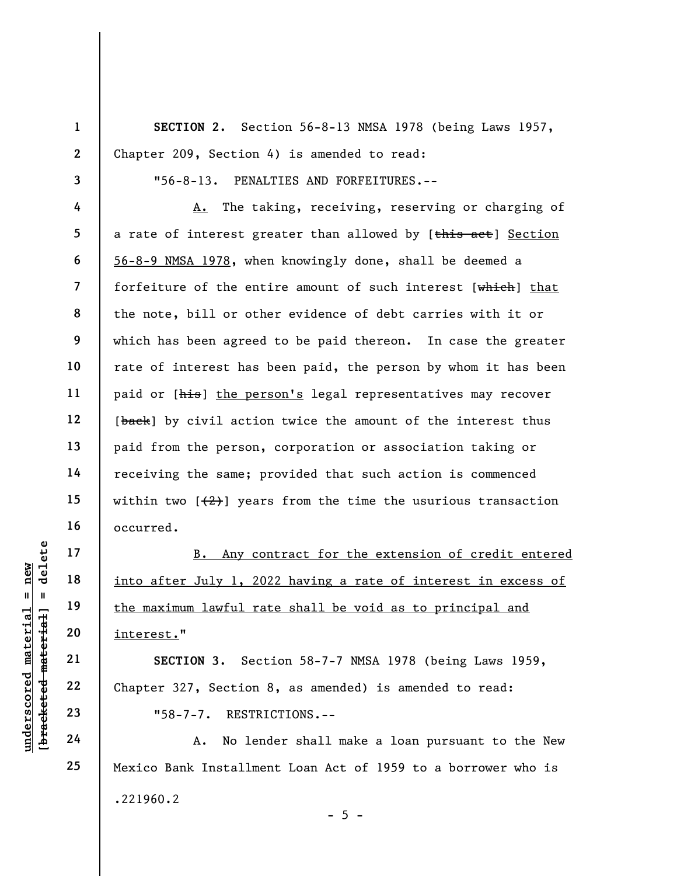1 2 3 4 5 6 7 8 9 10 11 12 13 14 15 16 17 SECTION 2. Section 56-8-13 NMSA 1978 (being Laws 1957, Chapter 209, Section 4) is amended to read: "56-8-13. PENALTIES AND FORFEITURES.-- A. The taking, receiving, reserving or charging of a rate of interest greater than allowed by [this act] Section 56-8-9 NMSA 1978, when knowingly done, shall be deemed a forfeiture of the entire amount of such interest [which] that the note, bill or other evidence of debt carries with it or which has been agreed to be paid thereon. In case the greater rate of interest has been paid, the person by whom it has been paid or [his] the person's legal representatives may recover [back] by civil action twice the amount of the interest thus paid from the person, corporation or association taking or receiving the same; provided that such action is commenced within two  $\left(\frac{2}{2}\right)$  years from the time the usurious transaction occurred.

underscored material = new [bracketed material] = delete B. Any contract for the extension of credit entered into after July 1, 2022 having a rate of interest in excess of the maximum lawful rate shall be void as to principal and interest."

SECTION 3. Section 58-7-7 NMSA 1978 (being Laws 1959, Chapter 327, Section 8, as amended) is amended to read: "58-7-7. RESTRICTIONS.--

A. No lender shall make a loan pursuant to the New Mexico Bank Installment Loan Act of 1959 to a borrower who is .221960.2  $- 5 -$ 

18

19

20

21

22

23

24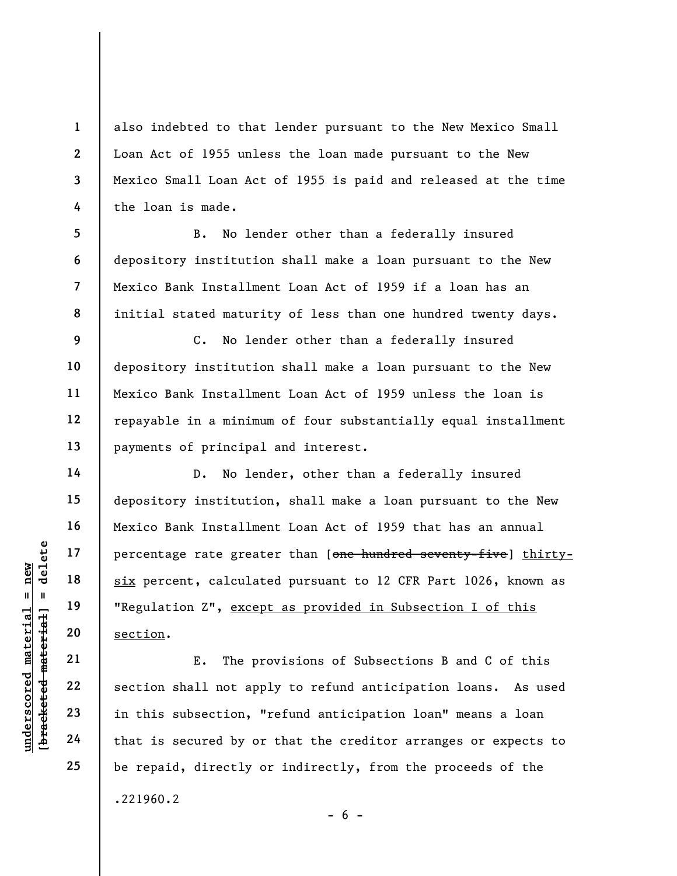also indebted to that lender pursuant to the New Mexico Small Loan Act of 1955 unless the loan made pursuant to the New Mexico Small Loan Act of 1955 is paid and released at the time the loan is made.

B. No lender other than a federally insured depository institution shall make a loan pursuant to the New Mexico Bank Installment Loan Act of 1959 if a loan has an initial stated maturity of less than one hundred twenty days.

C. No lender other than a federally insured depository institution shall make a loan pursuant to the New Mexico Bank Installment Loan Act of 1959 unless the loan is repayable in a minimum of four substantially equal installment payments of principal and interest.

understand material six percent, calculated material six percent, calculated material six percent, calculated material of the material of the section.<br>
The property of the section of the section of the secured by or that i D. No lender, other than a federally insured depository institution, shall make a loan pursuant to the New Mexico Bank Installment Loan Act of 1959 that has an annual percentage rate greater than [one hundred seventy-five] thirtysix percent, calculated pursuant to 12 CFR Part 1026, known as "Regulation Z", except as provided in Subsection I of this section.

E. The provisions of Subsections B and C of this section shall not apply to refund anticipation loans. As used in this subsection, "refund anticipation loan" means a loan that is secured by or that the creditor arranges or expects to be repaid, directly or indirectly, from the proceeds of the .221960.2

 $- 6 -$ 

1

2

3

4

5

6

7

8

9

10

11

12

13

14

15

16

17

18

19

20

21

22

23

24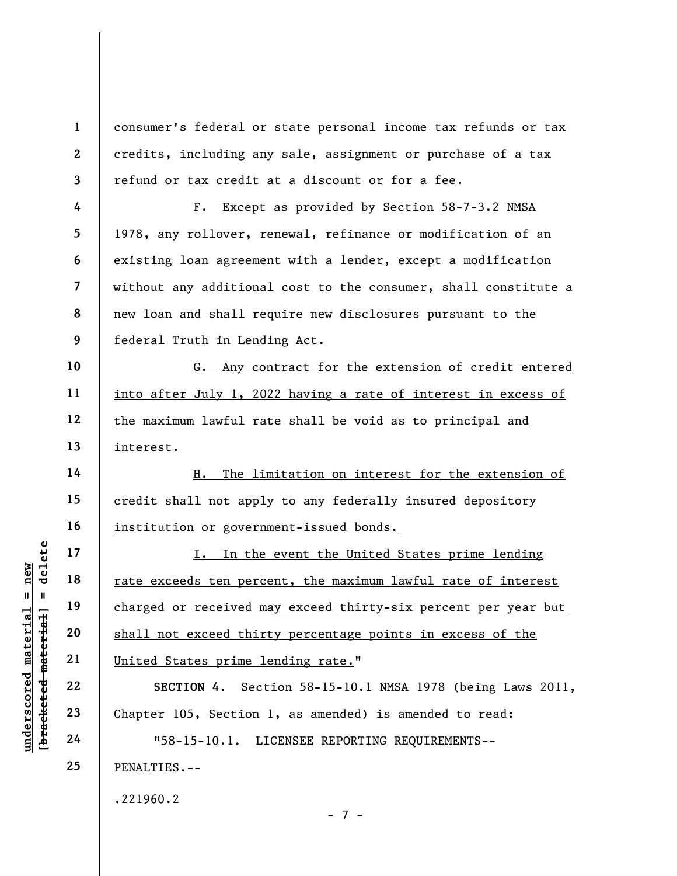underscored material = new [bracketed material] = delete 1 2 3 4 5 6 7 8 9 10 11 12 13 14 15 16 17 18 19 20 21 22 23 24 25 consumer's federal or state personal income tax refunds or tax credits, including any sale, assignment or purchase of a tax refund or tax credit at a discount or for a fee. F. Except as provided by Section 58-7-3.2 NMSA 1978, any rollover, renewal, refinance or modification of an existing loan agreement with a lender, except a modification without any additional cost to the consumer, shall constitute a new loan and shall require new disclosures pursuant to the federal Truth in Lending Act. G. Any contract for the extension of credit entered into after July 1, 2022 having a rate of interest in excess of the maximum lawful rate shall be void as to principal and interest. H. The limitation on interest for the extension of credit shall not apply to any federally insured depository institution or government-issued bonds. I. In the event the United States prime lending rate exceeds ten percent, the maximum lawful rate of interest charged or received may exceed thirty-six percent per year but shall not exceed thirty percentage points in excess of the United States prime lending rate." SECTION 4. Section 58-15-10.1 NMSA 1978 (being Laws 2011, Chapter 105, Section 1, as amended) is amended to read: "58-15-10.1. LICENSEE REPORTING REQUIREMENTS-- PENALTIES.-- .221960.2

- 7 -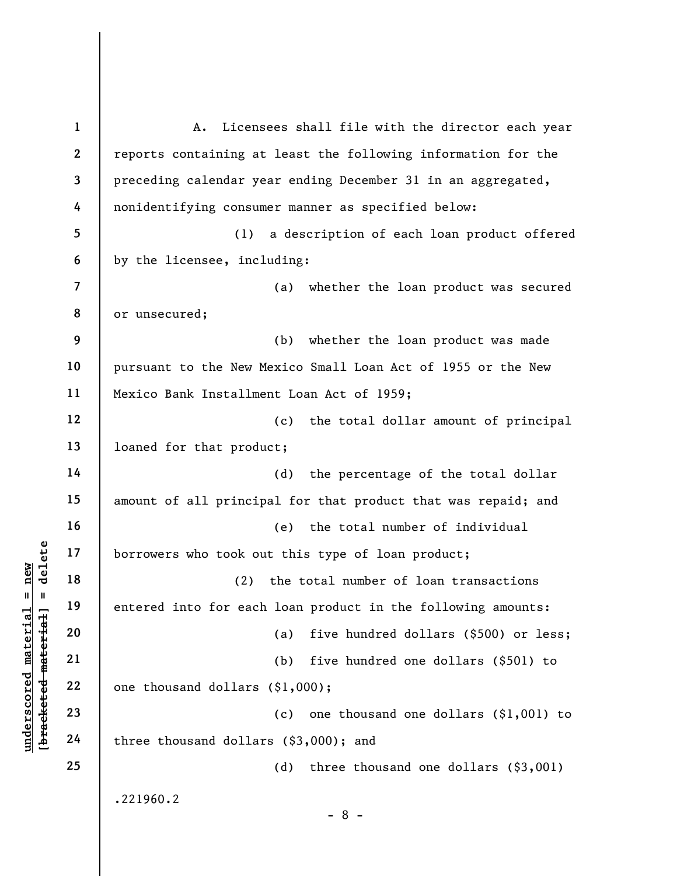underscore material material entered into for each<br>
except and the set of the set of the set of the set of the set of the set of the set of the set of the set of the set of the set of the set of the set of the set of the s 1 2 3 4 5 6 7 8 9 10 11 12 13 14 15 16 17 18 19 20 21 22 23 24 25 A. Licensees shall file with the director each year reports containing at least the following information for the preceding calendar year ending December 31 in an aggregated, nonidentifying consumer manner as specified below: (1) a description of each loan product offered by the licensee, including: (a) whether the loan product was secured or unsecured; (b) whether the loan product was made pursuant to the New Mexico Small Loan Act of 1955 or the New Mexico Bank Installment Loan Act of 1959; (c) the total dollar amount of principal loaned for that product; (d) the percentage of the total dollar amount of all principal for that product that was repaid; and (e) the total number of individual borrowers who took out this type of loan product; (2) the total number of loan transactions entered into for each loan product in the following amounts: (a) five hundred dollars (\$500) or less; (b) five hundred one dollars (\$501) to one thousand dollars (\$1,000); (c) one thousand one dollars (\$1,001) to three thousand dollars (\$3,000); and (d) three thousand one dollars (\$3,001) .221960.2 - 8 -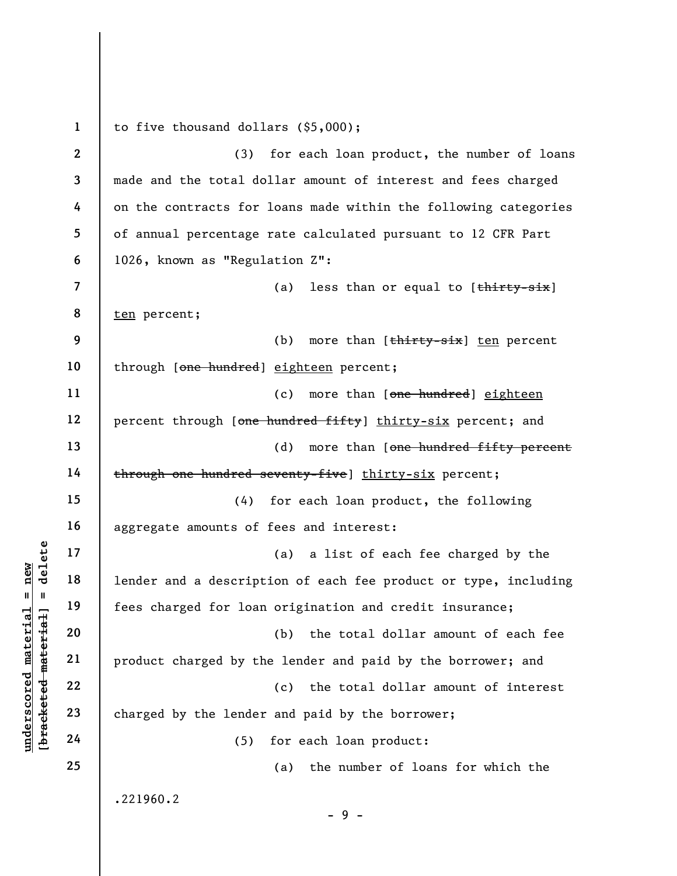under and a descript<br>  $\begin{bmatrix}\n\frac{1}{2} & \frac{1}{2} & \frac{1}{2} \\
\frac{1}{2} & \frac{1}{2} & \frac{1}{2} \\
\frac{1}{2} & \frac{1}{2} & \frac{1}{2} \\
\frac{1}{2} & \frac{1}{2} & \frac{1}{2} \\
\frac{1}{2} & \frac{1}{2} & \frac{1}{2}\n\end{bmatrix}$  and a descript<br>
fees charged for loan<br>
product charged by the le 1 2 3 4 5 6 7 8 9 10 11 12 13 14 15 16 17 18 19 20 21 22 23 24 25 to five thousand dollars (\$5,000); (3) for each loan product, the number of loans made and the total dollar amount of interest and fees charged on the contracts for loans made within the following categories of annual percentage rate calculated pursuant to 12 CFR Part 1026, known as "Regulation Z": (a) less than or equal to  $[t$ hirty-six] ten percent; (b) more than  $[\frac{\text{thirty}-\text{six}}{\text{sin}}]$  ten percent through [one hundred] eighteen percent; (c) more than [one hundred] eighteen percent through [one hundred fifty] thirty-six percent; and (d) more than [one hundred fifty percent through one hundred seventy-five] thirty-six percent; (4) for each loan product, the following aggregate amounts of fees and interest: (a) a list of each fee charged by the lender and a description of each fee product or type, including fees charged for loan origination and credit insurance; (b) the total dollar amount of each fee product charged by the lender and paid by the borrower; and (c) the total dollar amount of interest charged by the lender and paid by the borrower; (5) for each loan product: (a) the number of loans for which the .221960.2 - 9 -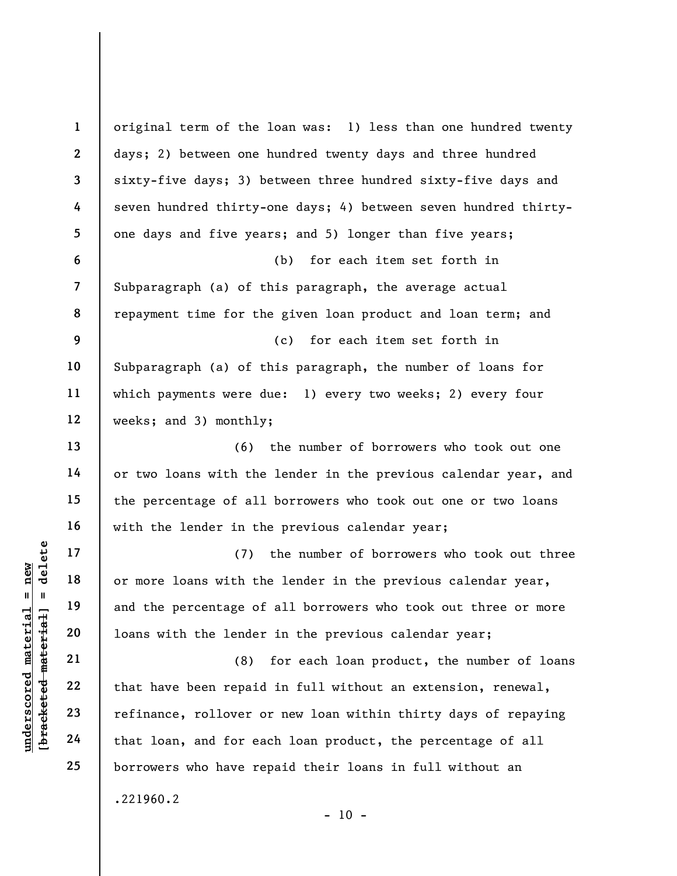understand material material of the term of that have been repaid<br>understand material corrections with the lender<br>deferred material corrections with the lender<br>dependence of that have been repaid<br>refinance, rollover correc 1 2 3 4 5 6 7 8 9 10 11 12 13 14 15 16 17 18 19 20 21 22 23 24 25 original term of the loan was: 1) less than one hundred twenty days; 2) between one hundred twenty days and three hundred sixty-five days; 3) between three hundred sixty-five days and seven hundred thirty-one days; 4) between seven hundred thirtyone days and five years; and 5) longer than five years; (b) for each item set forth in Subparagraph (a) of this paragraph, the average actual repayment time for the given loan product and loan term; and (c) for each item set forth in Subparagraph (a) of this paragraph, the number of loans for which payments were due: 1) every two weeks; 2) every four weeks; and 3) monthly; (6) the number of borrowers who took out one or two loans with the lender in the previous calendar year, and the percentage of all borrowers who took out one or two loans with the lender in the previous calendar year; (7) the number of borrowers who took out three or more loans with the lender in the previous calendar year, and the percentage of all borrowers who took out three or more loans with the lender in the previous calendar year; (8) for each loan product, the number of loans that have been repaid in full without an extension, renewal, refinance, rollover or new loan within thirty days of repaying that loan, and for each loan product, the percentage of all borrowers who have repaid their loans in full without an .221960.2  $- 10 -$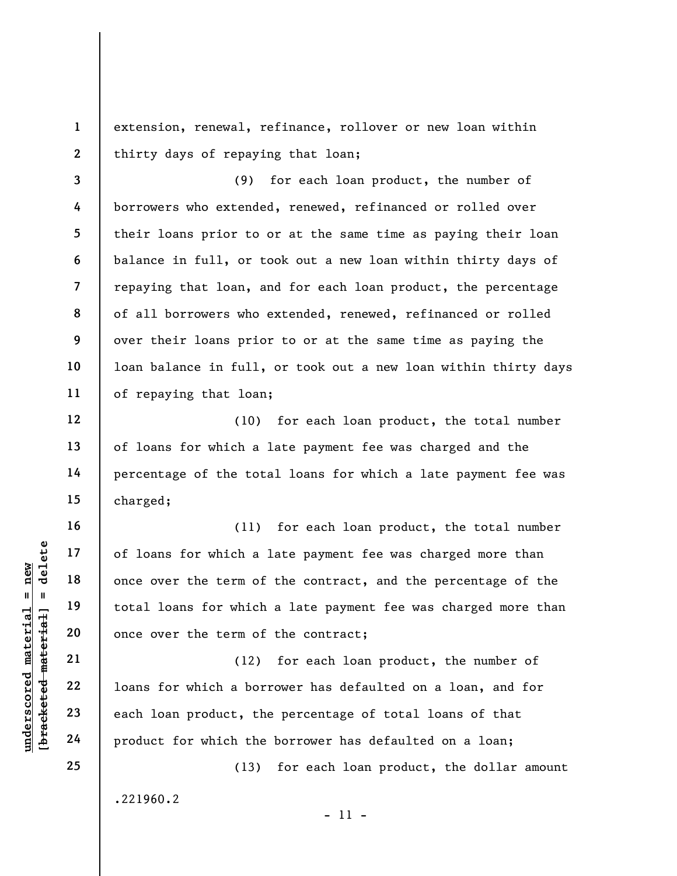extension, renewal, refinance, rollover or new loan within thirty days of repaying that loan;

3 4 5 6 7 8 9 10 11 (9) for each loan product, the number of borrowers who extended, renewed, refinanced or rolled over their loans prior to or at the same time as paying their loan balance in full, or took out a new loan within thirty days of repaying that loan, and for each loan product, the percentage of all borrowers who extended, renewed, refinanced or rolled over their loans prior to or at the same time as paying the loan balance in full, or took out a new loan within thirty days of repaying that loan;

(10) for each loan product, the total number of loans for which a late payment fee was charged and the percentage of the total loans for which a late payment fee was charged;

understand material end once over the term of<br>
except the term of<br>
total loans for which<br>
once over the term of<br>
once over the term of<br>
once over the term of<br>
(12)<br>
22<br>
23<br>
each loan product, the<br>
24<br>
product for which the (11) for each loan product, the total number of loans for which a late payment fee was charged more than once over the term of the contract, and the percentage of the total loans for which a late payment fee was charged more than once over the term of the contract;

(12) for each loan product, the number of loans for which a borrower has defaulted on a loan, and for each loan product, the percentage of total loans of that product for which the borrower has defaulted on a loan;

(13) for each loan product, the dollar amount

.221960.2

- 11 -

1

2

12

13

14

15

16

17

18

19

20

21

22

23

24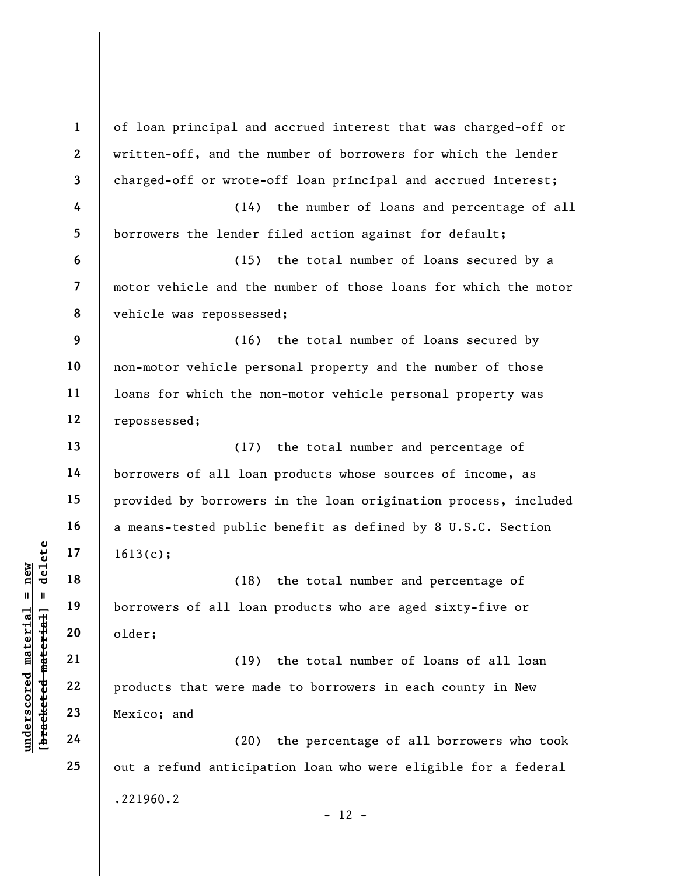underscored material material material and the set of all loan of all loan of all loan of all loan of all loan of all loan of all loan of all loan of all loan of all loan of all loan of all loan of all loan of all loan of 1 2 3 4 5 6 7 8 9 10 11 12 13 14 15 16 17 18 19 20 21 22 23 24 25 of loan principal and accrued interest that was charged-off or written-off, and the number of borrowers for which the lender charged-off or wrote-off loan principal and accrued interest; (14) the number of loans and percentage of all borrowers the lender filed action against for default; (15) the total number of loans secured by a motor vehicle and the number of those loans for which the motor vehicle was repossessed; (16) the total number of loans secured by non-motor vehicle personal property and the number of those loans for which the non-motor vehicle personal property was repossessed; (17) the total number and percentage of borrowers of all loan products whose sources of income, as provided by borrowers in the loan origination process, included a means-tested public benefit as defined by 8 U.S.C. Section 1613(c); (18) the total number and percentage of borrowers of all loan products who are aged sixty-five or older; (19) the total number of loans of all loan products that were made to borrowers in each county in New Mexico; and (20) the percentage of all borrowers who took out a refund anticipation loan who were eligible for a federal .221960.2

 $- 12 -$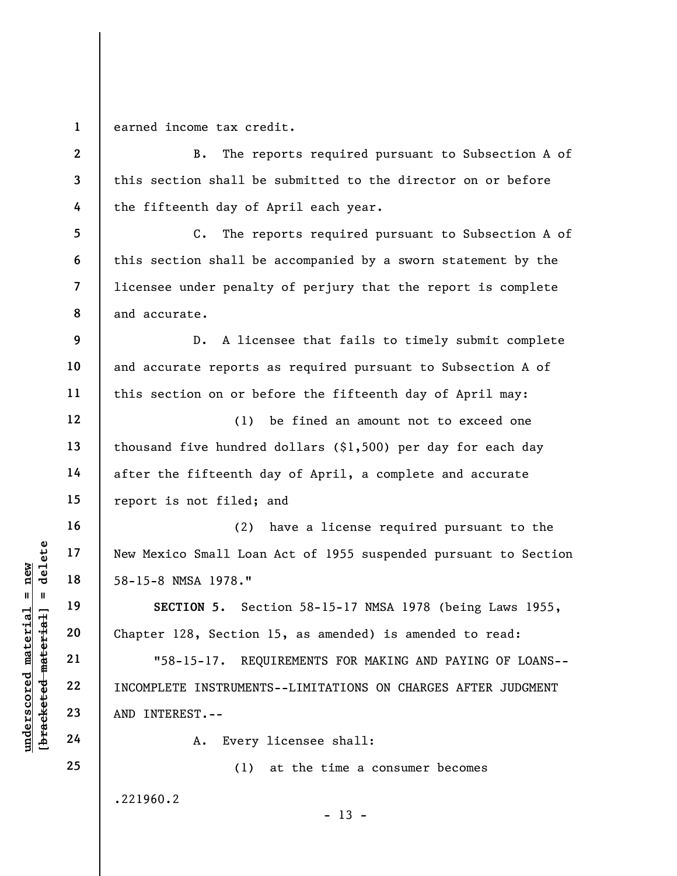1 earned income tax credit.

underscored material = new [bracketed material] = delete 2 3 4 5 6 7 8 9 10 11 12 13 14 15 16 17 18 19 20 21 22 23 24 25 B. The reports required pursuant to Subsection A of this section shall be submitted to the director on or before the fifteenth day of April each year. C. The reports required pursuant to Subsection A of this section shall be accompanied by a sworn statement by the licensee under penalty of perjury that the report is complete and accurate. D. A licensee that fails to timely submit complete and accurate reports as required pursuant to Subsection A of this section on or before the fifteenth day of April may: (1) be fined an amount not to exceed one thousand five hundred dollars (\$1,500) per day for each day after the fifteenth day of April, a complete and accurate report is not filed; and (2) have a license required pursuant to the New Mexico Small Loan Act of 1955 suspended pursuant to Section 58-15-8 NMSA 1978." SECTION 5. Section 58-15-17 NMSA 1978 (being Laws 1955, Chapter 128, Section 15, as amended) is amended to read: "58-15-17. REQUIREMENTS FOR MAKING AND PAYING OF LOANS-- INCOMPLETE INSTRUMENTS--LIMITATIONS ON CHARGES AFTER JUDGMENT AND INTEREST.-- A. Every licensee shall: (1) at the time a consumer becomes .221960.2  $- 13 -$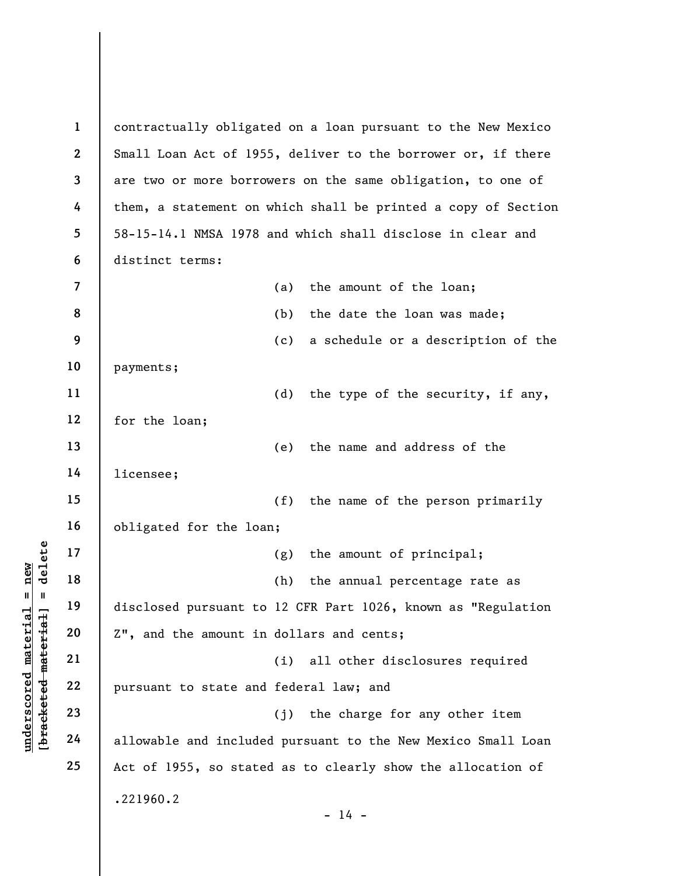understand material material and the amount in<br>
weight a 20 and the amount in<br>
weight 22 a bursuant to state and<br>
23 allowable and include 1 2 3 4 5 6 7 8 9 10 11 12 13 14 15 16 17 18 19 20 21 22 23 24 25 contractually obligated on a loan pursuant to the New Mexico Small Loan Act of 1955, deliver to the borrower or, if there are two or more borrowers on the same obligation, to one of them, a statement on which shall be printed a copy of Section 58-15-14.1 NMSA 1978 and which shall disclose in clear and distinct terms: (a) the amount of the loan; (b) the date the loan was made; (c) a schedule or a description of the payments; (d) the type of the security, if any, for the loan; (e) the name and address of the licensee; (f) the name of the person primarily obligated for the loan; (g) the amount of principal; (h) the annual percentage rate as disclosed pursuant to 12 CFR Part 1026, known as "Regulation Z", and the amount in dollars and cents; (i) all other disclosures required pursuant to state and federal law; and (j) the charge for any other item allowable and included pursuant to the New Mexico Small Loan Act of 1955, so stated as to clearly show the allocation of .221960.2  $- 14 -$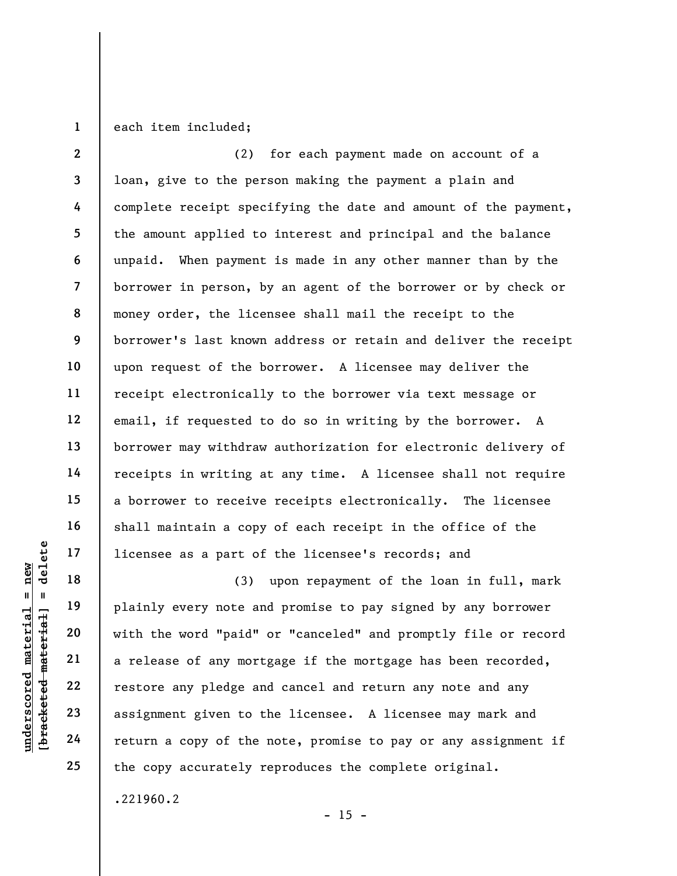1 each item included;

2 3 4 5 6 7 8 9 10 11 12 13 14 15 16 17 (2) for each payment made on account of a loan, give to the person making the payment a plain and complete receipt specifying the date and amount of the payment, the amount applied to interest and principal and the balance unpaid. When payment is made in any other manner than by the borrower in person, by an agent of the borrower or by check or money order, the licensee shall mail the receipt to the borrower's last known address or retain and deliver the receipt upon request of the borrower. A licensee may deliver the receipt electronically to the borrower via text message or email, if requested to do so in writing by the borrower. A borrower may withdraw authorization for electronic delivery of receipts in writing at any time. A licensee shall not require a borrower to receive receipts electronically. The licensee shall maintain a copy of each receipt in the office of the licensee as a part of the licensee's records; and

underscore as a part of<br>
understand material of the sole of any mort<br>
with the word "paid"<br>
understand material"<br>
21<br>
understand material are lease of any mort<br>
23<br>
understand material assignment given to the<br>
24<br>
teturn a (3) upon repayment of the loan in full, mark plainly every note and promise to pay signed by any borrower with the word "paid" or "canceled" and promptly file or record a release of any mortgage if the mortgage has been recorded, restore any pledge and cancel and return any note and any assignment given to the licensee. A licensee may mark and return a copy of the note, promise to pay or any assignment if the copy accurately reproduces the complete original.

.221960.2

18

19

20

21

22

23

24

25

 $- 15 -$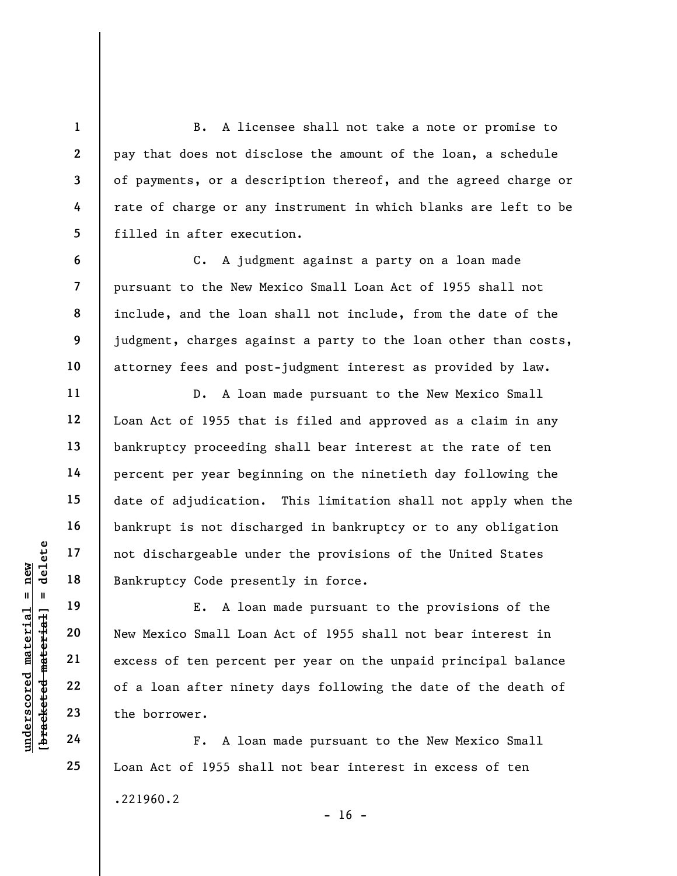B. A licensee shall not take a note or promise to pay that does not disclose the amount of the loan, a schedule of payments, or a description thereof, and the agreed charge or rate of charge or any instrument in which blanks are left to be filled in after execution.

C. A judgment against a party on a loan made pursuant to the New Mexico Small Loan Act of 1955 shall not include, and the loan shall not include, from the date of the judgment, charges against a party to the loan other than costs, attorney fees and post-judgment interest as provided by law.

D. A loan made pursuant to the New Mexico Small Loan Act of 1955 that is filed and approved as a claim in any bankruptcy proceeding shall bear interest at the rate of ten percent per year beginning on the ninetieth day following the date of adjudication. This limitation shall not apply when the bankrupt is not discharged in bankruptcy or to any obligation not dischargeable under the provisions of the United States Bankruptcy Code presently in force.

underscores of the borrower.<br>
Wallen material and the Mew Mexico Small Loan<br>
were the core of a loan after ninet<br>
were the borrower.<br>
24<br>
The borrower.<br>
24<br>
Prime is the borrower.<br>
F. A loan E. A loan made pursuant to the provisions of the New Mexico Small Loan Act of 1955 shall not bear interest in excess of ten percent per year on the unpaid principal balance of a loan after ninety days following the date of the death of the borrower.

F. A loan made pursuant to the New Mexico Small Loan Act of 1955 shall not bear interest in excess of ten .221960.2

1

2

3

4

5

6

7

8

9

10

11

12

13

14

15

16

17

18

19

20

21

22

23

24

25

 $- 16 -$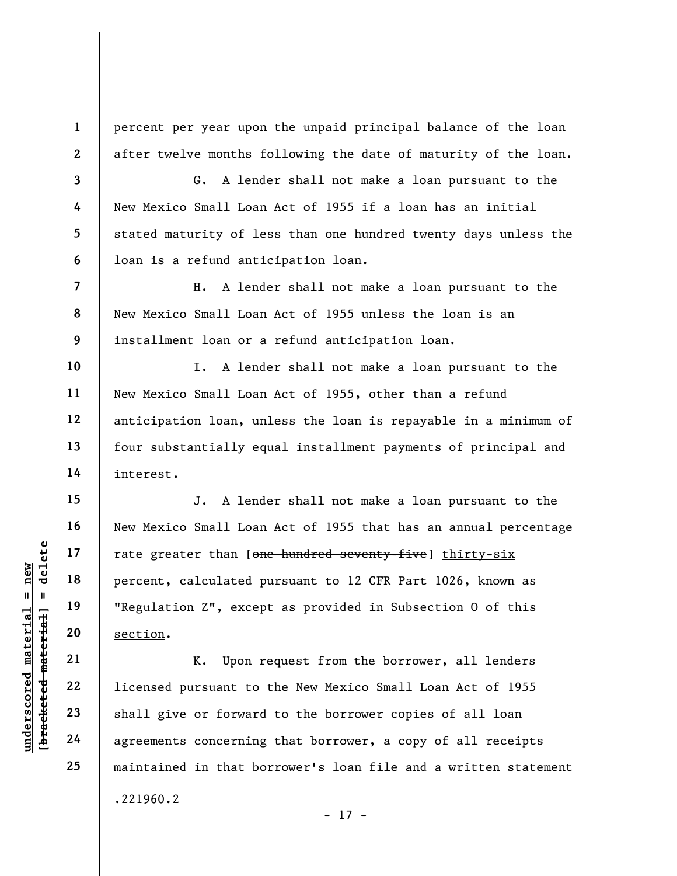percent per year upon the unpaid principal balance of the loan after twelve months following the date of maturity of the loan.

G. A lender shall not make a loan pursuant to the New Mexico Small Loan Act of 1955 if a loan has an initial stated maturity of less than one hundred twenty days unless the loan is a refund anticipation loan.

8 9 H. A lender shall not make a loan pursuant to the New Mexico Small Loan Act of 1955 unless the loan is an installment loan or a refund anticipation loan.

I. A lender shall not make a loan pursuant to the New Mexico Small Loan Act of 1955, other than a refund anticipation loan, unless the loan is repayable in a minimum of four substantially equal installment payments of principal and interest.

underscore material material of the section of the section of the section of the section of the section of the section of the section of the section of the section of the section of the section of the section of the sectio J. A lender shall not make a loan pursuant to the New Mexico Small Loan Act of 1955 that has an annual percentage rate greater than [one hundred seventy-five] thirty-six percent, calculated pursuant to 12 CFR Part 1026, known as "Regulation Z", except as provided in Subsection 0 of this section.

K. Upon request from the borrower, all lenders licensed pursuant to the New Mexico Small Loan Act of 1955 shall give or forward to the borrower copies of all loan agreements concerning that borrower, a copy of all receipts maintained in that borrower's loan file and a written statement .221960.2 - 17 -

1

2

3

4

5

6

7

10

11

12

13

14

15

16

17

18

19

20

21

22

23

24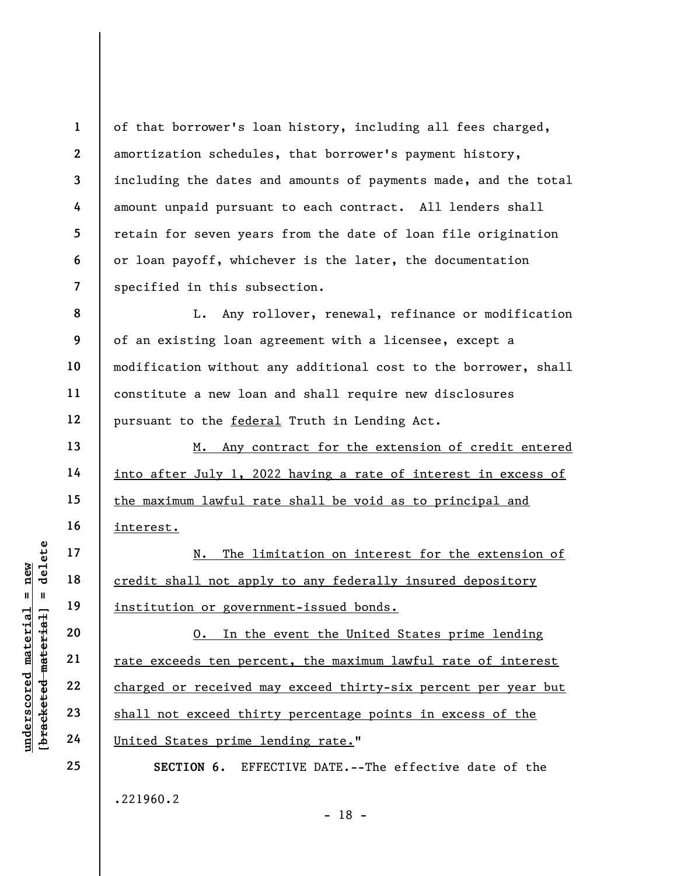2 3 7 of that borrower's loan history, including all fees charged, amortization schedules, that borrower's payment history, including the dates and amounts of payments made, and the total amount unpaid pursuant to each contract. All lenders shall retain for seven years from the date of loan file origination or loan payoff, whichever is the later, the documentation specified in this subsection.

8 9 10 12 L. Any rollover, renewal, refinance or modification of an existing loan agreement with a licensee, except a modification without any additional cost to the borrower, shall constitute a new loan and shall require new disclosures pursuant to the federal Truth in Lending Act.

M. Any contract for the extension of credit entered into after July 1, 2022 having a rate of interest in excess of the maximum lawful rate shall be void as to principal and interest.

N. The limitation on interest for the extension of credit shall not apply to any federally insured depository institution or government-issued bonds.

underscored material = new [bracketed material] = delete O. In the event the United States prime lending rate exceeds ten percent, the maximum lawful rate of interest charged or received may exceed thirty-six percent per year but shall not exceed thirty percentage points in excess of the United States prime lending rate."

> SECTION 6. EFFECTIVE DATE.--The effective date of the .221960.2 - 18 -

1

4

5

6

11

13

14

15

16

17

18

19

20

21

22

23

24